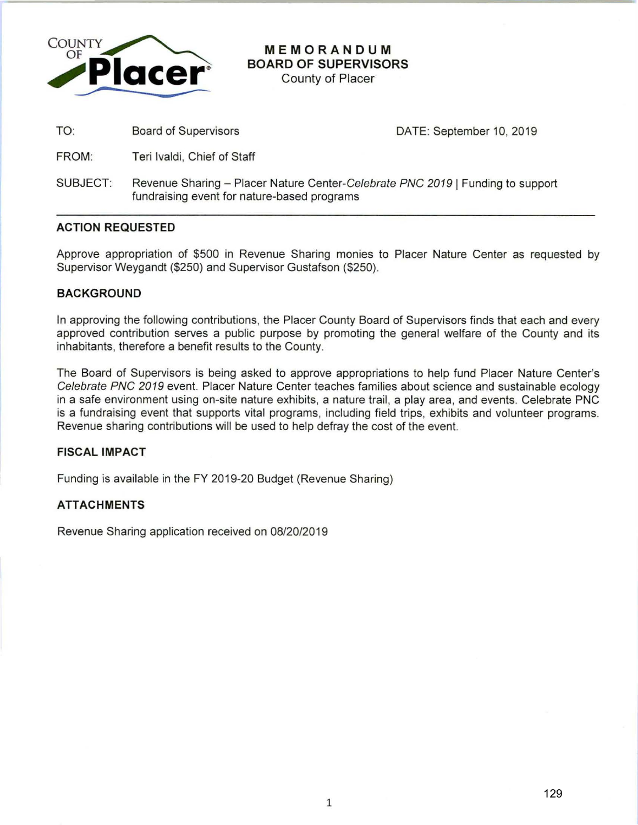

**MEMORANDUM BOARD OF SUPERVISORS** 

County of Placer

TO: Board of Supervisors

DATE: September 10, 2019

- FROM: Teri lvaldi, Chief of Staff
- SUBJECT: Revenue Sharing Placer Nature Center-Celebrate PNC 2019 | Funding to support fundraising event for nature-based programs

## **ACTION REQUESTED**

Approve appropriation of \$500 in Revenue Sharing monies to Placer Nature Center as requested by Supervisor Weygandt (\$250) and Supervisor Gustafson (\$250).

## **BACKGROUND**

In approving the following contributions, the Placer County Board of Supervisors finds that each and every approved contribution serves a public purpose by promoting the general welfare of the County and its inhabitants, therefore a benefit results to the County.

The Board of Supervisors is being asked to approve appropriations to help fund Placer Nature Center's Celebrate PNC 2019 event. Placer Nature Center teaches families about science and sustainable ecology in a safe environment using on-site nature exhibits, a nature trail, a play area, and events. Celebrate PNC is a fundraising event that supports vital programs, including field trips, exhibits and volunteer programs. Revenue sharing contributions will be used to help defray the cost of the event.

# **FISCAL IMPACT**

Funding is available in the FY 2019-20 Budget (Revenue Sharing)

## **ATTACHMENTS**

Revenue Sharing application received on 08/20/2019